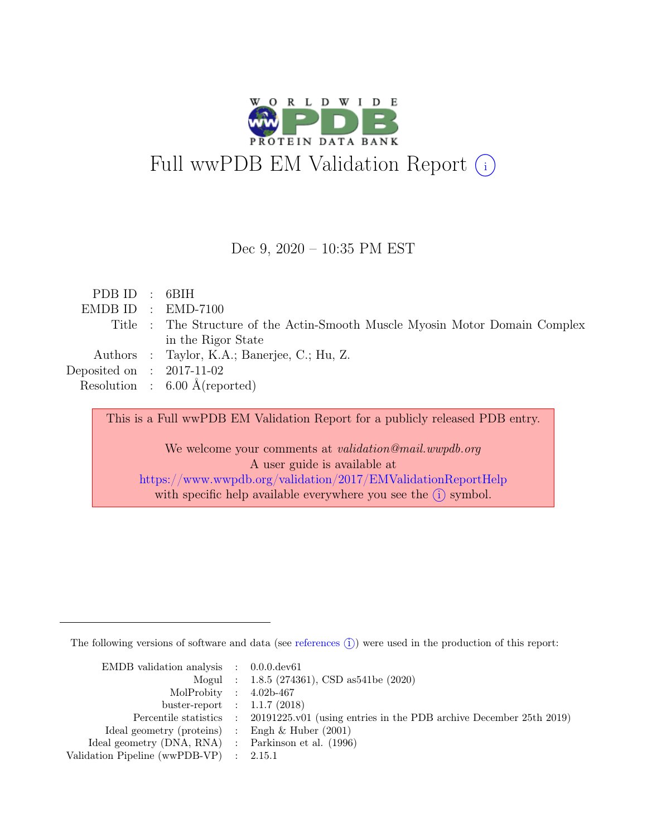

#### Dec 9, 2020 – 10:35 PM EST

| PDBID : 6BIH                |                                                                              |
|-----------------------------|------------------------------------------------------------------------------|
|                             | $EMDBID : EMD-7100$                                                          |
|                             | Title : The Structure of the Actin-Smooth Muscle Myosin Motor Domain Complex |
|                             | in the Rigor State                                                           |
|                             | Authors : Taylor, K.A.; Banerjee, C.; Hu, Z.                                 |
| Deposited on : $2017-11-02$ |                                                                              |
|                             | Resolution : $6.00 \text{ Å}$ (reported)                                     |
|                             |                                                                              |

This is a Full wwPDB EM Validation Report for a publicly released PDB entry.

We welcome your comments at *validation@mail.wwpdb.org* A user guide is available at <https://www.wwpdb.org/validation/2017/EMValidationReportHelp> with specific help available everywhere you see the  $(i)$  symbol.

The following versions of software and data (see [references](https://www.wwpdb.org/validation/2017/EMValidationReportHelp#references)  $\hat{I}$ ) were used in the production of this report:

| EMDB validation analysis $\therefore$ 0.0.0.dev61   |                                                                                            |
|-----------------------------------------------------|--------------------------------------------------------------------------------------------|
|                                                     | Mogul : $1.8.5$ (274361), CSD as 541be (2020)                                              |
| MolProbity : $4.02b-467$                            |                                                                                            |
| buster-report : $1.1.7$ (2018)                      |                                                                                            |
|                                                     | Percentile statistics : 20191225.v01 (using entries in the PDB archive December 25th 2019) |
| Ideal geometry (proteins) : Engh $\&$ Huber (2001)  |                                                                                            |
| Ideal geometry (DNA, RNA) : Parkinson et al. (1996) |                                                                                            |
| Validation Pipeline (wwPDB-VP) : $2.15.1$           |                                                                                            |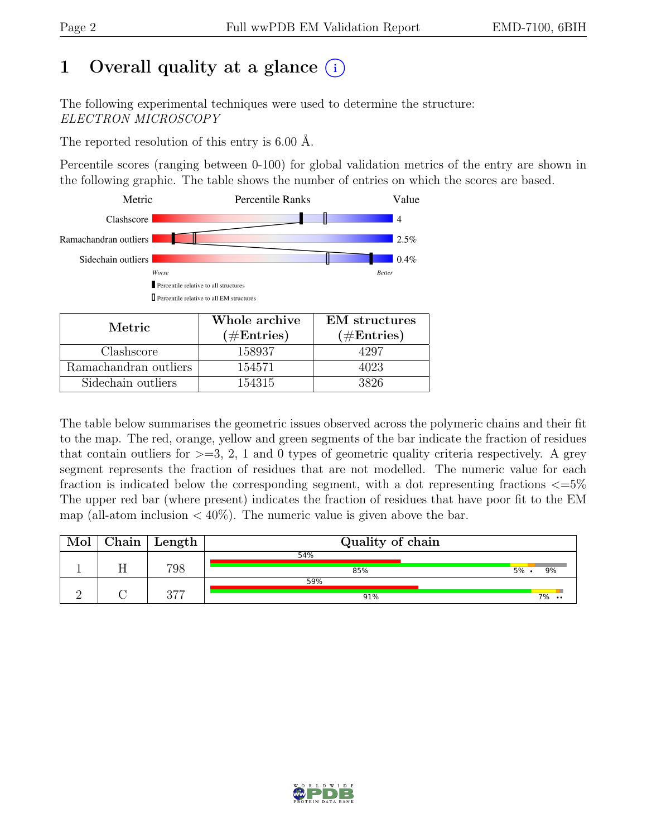## 1 Overall quality at a glance  $(i)$

The following experimental techniques were used to determine the structure: ELECTRON MICROSCOPY

The reported resolution of this entry is 6.00 Å.

Percentile scores (ranging between 0-100) for global validation metrics of the entry are shown in the following graphic. The table shows the number of entries on which the scores are based.



| Metric.               | Whole archive<br>$(\#Entries)$ | <b>EM</b> structures<br>$(\#Entries)$ |
|-----------------------|--------------------------------|---------------------------------------|
| Clashscore            | 158937                         | .297                                  |
| Ramachandran outliers | 154571                         | 4023                                  |
| Sidechain outliers    | 154315                         | 3826                                  |

The table below summarises the geometric issues observed across the polymeric chains and their fit to the map. The red, orange, yellow and green segments of the bar indicate the fraction of residues that contain outliers for  $\geq$ =3, 2, 1 and 0 types of geometric quality criteria respectively. A grey segment represents the fraction of residues that are not modelled. The numeric value for each fraction is indicated below the corresponding segment, with a dot representing fractions  $\epsilon = 5\%$ The upper red bar (where present) indicates the fraction of residues that have poor fit to the EM map (all-atom inclusion  $\langle 40\% \rangle$ ). The numeric value is given above the bar.

| ${\rm Chain}$ | Length | Quality of chain |                     |  |  |
|---------------|--------|------------------|---------------------|--|--|
|               |        | 54%              |                     |  |  |
|               | 798    | 85%              | 5%<br>9%            |  |  |
|               |        | 59%              |                     |  |  |
|               | 277    | 91%              | 7%<br>$\cdot \cdot$ |  |  |

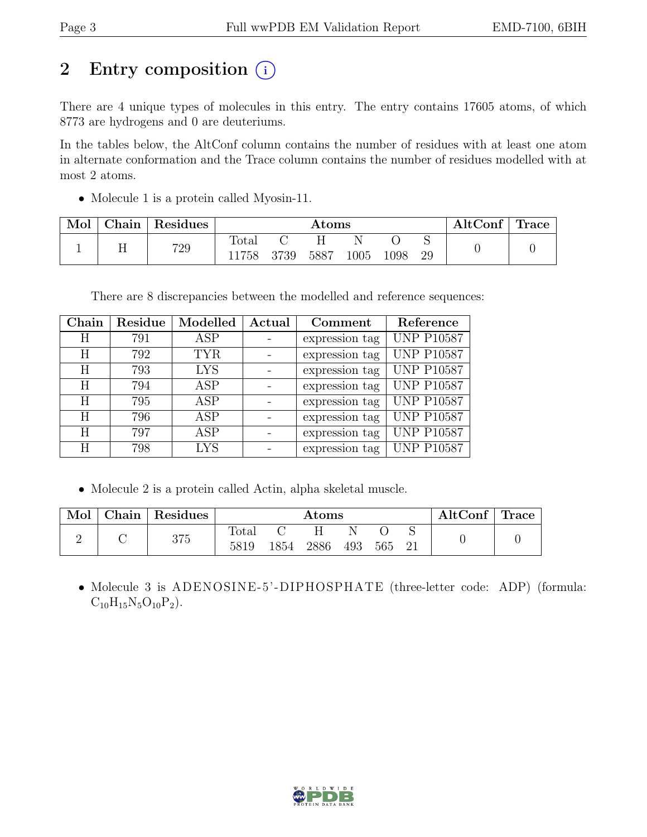## 2 Entry composition  $(i)$

There are 4 unique types of molecules in this entry. The entry contains 17605 atoms, of which 8773 are hydrogens and 0 are deuteriums.

In the tables below, the AltConf column contains the number of residues with at least one atom in alternate conformation and the Trace column contains the number of residues modelled with at most 2 atoms.

• Molecule 1 is a protein called Myosin-11.

| Mol | ${\rm Chain}$ | Residues | Atoms         |      |      |      | AltConf | Trace |  |  |
|-----|---------------|----------|---------------|------|------|------|---------|-------|--|--|
|     | 11            | 729      | Total<br>1758 | 3739 | 5887 | .005 | 1098    | 29    |  |  |

There are 8 discrepancies between the modelled and reference sequences:

| Chain | Residue | Modelled   | Actual | Comment        | Reference         |
|-------|---------|------------|--------|----------------|-------------------|
| Η     | 791     | ASP        |        | expression tag | <b>UNP P10587</b> |
| H     | 792     | <b>TYR</b> |        | expression tag | <b>UNP P10587</b> |
| H     | 793     | <b>LYS</b> |        | expression tag | <b>UNP P10587</b> |
| H     | 794     | ASP        |        | expression tag | <b>UNP P10587</b> |
| H     | 795     | ASP        |        | expression tag | <b>UNP P10587</b> |
| H     | 796     | <b>ASP</b> |        | expression tag | <b>UNP P10587</b> |
| H     | 797     | <b>ASP</b> |        | expression tag | <b>UNP P10587</b> |
| Η     | 798     | <b>LYS</b> |        | expression tag | <b>UNP P10587</b> |

• Molecule 2 is a protein called Actin, alpha skeletal muscle.

| Mol | $\vert$ Chain $\vert$ Residues | Atoms         |      |      |     | $\text{AltConf}$ Trace |     |  |  |
|-----|--------------------------------|---------------|------|------|-----|------------------------|-----|--|--|
|     | 375                            | Total<br>5819 | 1854 | 2886 | 493 | 565                    | -21 |  |  |

• Molecule 3 is ADENOSINE-5'-DIPHOSPHATE (three-letter code: ADP) (formula:  $C_{10}H_{15}N_5O_{10}P_2$ .

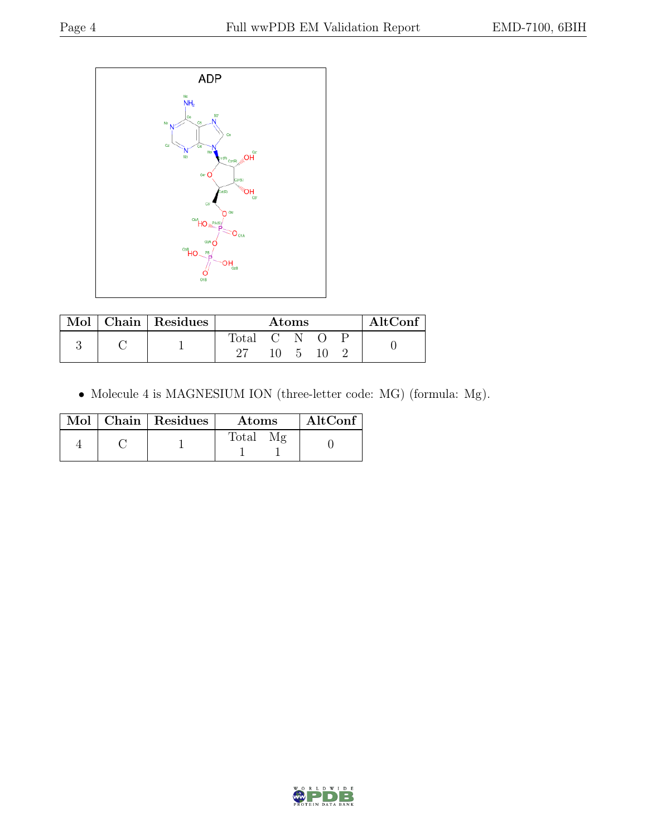

|  | Mol   Chain   Residues | $\rm{Atoms}$ |    |              | AltConf |  |  |
|--|------------------------|--------------|----|--------------|---------|--|--|
|  |                        | Total C N    |    |              |         |  |  |
|  |                        |              | 10 | $\mathbf{h}$ | 10      |  |  |

• Molecule 4 is MAGNESIUM ION (three-letter code: MG) (formula: Mg).

|  | $Mol$   Chain   Residues | <b>Atoms</b> | AltConf |
|--|--------------------------|--------------|---------|
|  |                          | Total<br>Mg  |         |

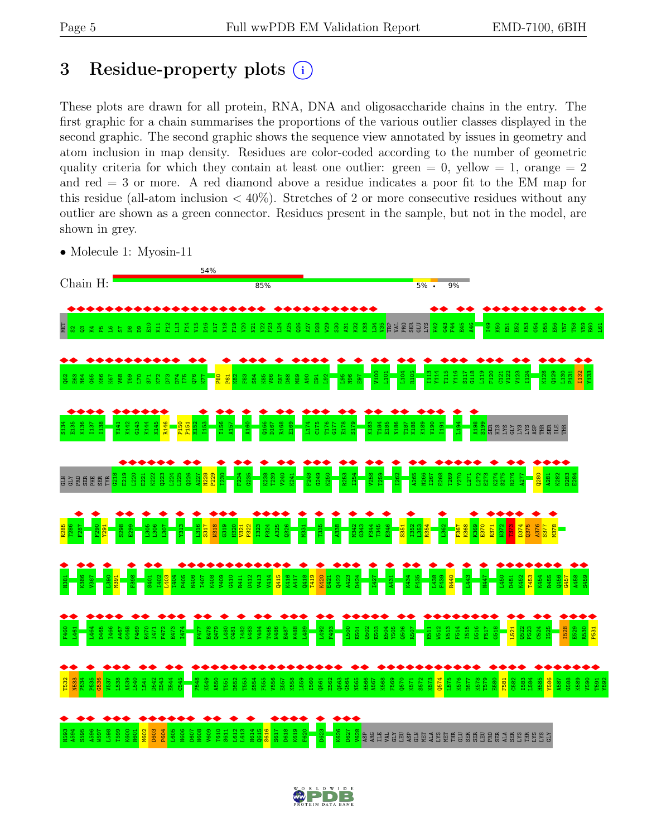## <span id="page-4-0"></span>3 Residue-property plots  $(i)$

These plots are drawn for all protein, RNA, DNA and oligosaccharide chains in the entry. The first graphic for a chain summarises the proportions of the various outlier classes displayed in the second graphic. The second graphic shows the sequence view annotated by issues in geometry and atom inclusion in map density. Residues are color-coded according to the number of geometric quality criteria for which they contain at least one outlier: green  $= 0$ , yellow  $= 1$ , orange  $= 2$ and red = 3 or more. A red diamond above a residue indicates a poor fit to the EM map for this residue (all-atom inclusion  $\langle 40\% \rangle$ ). Stretches of 2 or more consecutive residues without any outlier are shown as a green connector. Residues present in the sample, but not in the model, are shown in grey.

- 54% Chain H: 85%  $5\%$  . 9% ◆ ◆ ◆ ◆ ◆ ◆ ◆ ◆ ◆ ◆ ◆ ◆ ◆ ◆ ◆ ◆ ◆ ◆ ◆ ◆ ◆ ◆ ◆ ◆ ◆ ◆ ◆ ◆ ◆ ◆ ◆ ◆ ◆ ◆ ◆ ◆ ◆ ◆ ◆ ◆ ◆ ◆ ◆ ◆ ◆ ◆ ◆ ◆  $\mathbb{E}$  s F14  $L_{24}$  $\mathbb{E}^{3}$ <mark>B</mark>ede as S F44 G54  $\frac{1}{2}$ K11 F12 L13 V15 D16 K17 N18 F19  $\frac{8}{2}$ N21  $\frac{22}{2}$ ន្ត្ A25 a<br>8  $\overline{127}$ D28 W29  $\frac{8}{20}$ A31 K32 K33 H42 G43 E45 A46 I49 K50 E51  $\mathbb{E}^{\mathbb{Z}}$ K53 D55 E56 V57 T58 V59 E60 L61 ឌ. E 2 2 2 2 2<br>2 2 3 2 3 ◆ ◆ ◆ ◆ ◆ ◆ ◆ ◆ ◆ ◆ ◆ ◆ ◆ ◆ ◆ ◆ ◆ ◆ ◆ ◆ ◆ ◆ ◆ ◆ ◆ ◆ ◆ ◆ ◆ ◆ ◆ ◆ ◆ ◆ ◆ ◆ ◆ ◆ ◆ ◆ ◆ ◆ ◆ V100 L101 L104 R105 I113 Y114 T115 Y116 S117  $\frac{18}{118}$  $\frac{1}{2}$ F120 C121 V122 V123 I124 K128 q<br>129 L130 P131 I132 Y133 ន<br>ទ E63 N64 G65 K66 K67 V68 T69 L70 S71 K72 D73 D74 I75 م<br>ح <u>גד</u> P80  $P<sub>81</sub>$ K82 F83 S84 K85 V86 E87 D88 89<br>M  $\frac{8}{4}$ E91  $\frac{8}{2}$ L95 N96 E97 ◆ ◆ ◆ ◆ ◆ ◆ ◆ ◆ ◆ ◆ ◆ ◆ ◆ ◆ ◆ ◆ ◆ ◆ ◆ ◆ ◆ ◆ ◆ ◆ ◆ ◆ ◆ ◆ ◆ ◆ ◆ S134 E135 K136 I137 I138 K142 G143 K144 K145 R146 P150 H152 I153 I156 A157 A160 Q166 D167 R168 E169 L174 C175 T176  $G177$ E178 S179 K183 T184 E185 N186 T187 K188 K189 V190 L194 A198 S199 Y141 P151 I191 SER HIS LYS GLY LYS LYS ASP THR SER  $E_{\rm L}$ THR ◆ ◆ ◆ ◆ ◆ ◆ ◆ ◆ ◆ ◆ ◆ ◆ ◆ ◆ ◆ ◆ ◆ ◆ ◆ ◆ ◆ ◆ ◆ ◆ ◆ ◆ ◆ ◆ ◆ ◆ ◆ ◆ ◆ ◆ ◆ ◆ G218 E219 L220 E221 K222 Q223 L224 L225 Q226 A227 N228 P229 I230 F234 G235 K238 T239 V240 K241 F248 G249 K250 R253 I254 V258  $\frac{259}{2}$ I262 A265 N266 I267 E268 T269 Y270 L271 L272 E273 K274 S275 R276 A277 Q280 A281 K282 D283 E284 E SE SER E SE ◆ ◆ ◆ ◆ ◆ ◆ ◆ ◆ ◆ ◆ ◆ ◆ ◆ ◆ ◆ ◆ ◆ ◆ ◆ ◆ ◆ ◆ ◆ ◆ ◆ ◆ ◆ ◆ ◆ ◆ R285 T286 F287  $F290$ Y291 S298  $\frac{8}{2}$ L305 L306 L307 Y313  $\frac{15}{2}$ S317 N318 G319  $\frac{20}{2}$ V321 P322 I323 P324 A325  $\frac{26}{2}$ M331 T335 A338 M342 G343 F344 T345 E346 S351 I352  $\frac{25}{2}$ R354 L362 F367 K368  $\frac{69}{25}$ E370 R371 N372 T373 D374 Q375 A376  $\frac{377}{2}$ M378 ◆ ◆ ◆ ◆ ◆ ◆ ◆ ◆ ◆ ◆ ◆ ◆ ◆ ◆ ◆ ◆ ◆ ◆ ◆ ◆ ◆ ◆ ◆ ◆ ◆ ◆ ◆ ◆ ◆ ◆ ◆ ◆ ◆ ◆ ◆ ◆ ◆ ◆ ◆ ◆ ◆ N381 K386 V387  $\frac{80}{2}$ M391 F398 S401 I402 L403 T404 P405 R406 I407 K408 V409 G410 R411 D412 V413 V414 Q415 K416 A417 Q418 T419 K420 E421 Q422 A423 D424 I427 A431 K434 F435 L438 F439 R440 L443 N447 L450 D451 K452 T453 K454 R455  $\frac{66}{2456}$ G457 A458 S459 ◆ ◆ ◆ ◆ ◆ ◆ ◆ ◆ ◆ ◆ ◆ ◆ ◆ ◆ ◆ ◆ ◆ ◆ ◆ ◆ ◆ ◆ ◆ ◆ ◆ ◆ ◆ ◆ ◆ ◆ ◆ ◆ ◆ ◆ ◆ ◆ ◆ ◆ ◆ ◆ ◆ ◆ ◆ ◆ ◆ F460 L464 D465 I466 A467 G468 F469 E470 F472 E473 I474 F477 E478 Q479 L480 I482 N483 Y484 T485 N486 E487 K488 L489 L492 F493 L500 Q502 E503 E504 Y505 Q506 R507 W512 N513 F514 I515 D516 F517 G518 Q522 P523 C524 I525 I528 E529  $\frac{80}{20}$ L461 I471 C481 E501 E511 L521 P531 ◆ ◆ ◆ ◆ ◆ ◆ ◆ ◆ ◆ ◆ ◆ ◆ ◆ ◆ ◆ ◆ ◆ ◆ ◆ ◆ ◆ ◆ ◆ ◆ ◆ ◆ ◆ ◆ ◆ ◆ ◆ ◆ ◆ ◆ ◆ ◆ ◆ ◆ ◆ ◆ ◆ ◆ ◆ ◆ ◆ ◆ ◆ ◆ ◆ ◆ T532 N533 P534 P535 G536 V537 L538 A539 L540 L541 D542 E543 E544 C545 P548 K549 A550 T551 D552 T553 S554 F555 V556 E557 K558 L559 I560 Q561 E562 Q563 G564 N565 H566 A567 K568 F569 Q570 K571 S572 K573 Q574 L575 K576 D577 K578 T579 E580 F581 C582 I583 L584 H585 Y586 A587 G588 K589 V590 T591 Y592 ◆ ◆ ◆ ◆ ◆ ◆ ◆ ◆ ◆ ◆ ◆ ◆ ◆ ◆ ◆ ◆ ◆ ◆ ◆ ◆ ◆ ◆ ◆ ◆ N593 A594 S595 A596 W597 L598 T599 K600 N601<br>M602 D603 P604 L605 N606<br>D608<br>V609<br>N614<br>N614  $\frac{15}{10}$ S616 S617 D618 K619 F620 D623 K626 D627 V628 ARG ILE VAL GLY LEU ASP GLN ET THREE BREE BREE BREE SER  $\frac{1}{2}$
- Molecule 1: Myosin-11

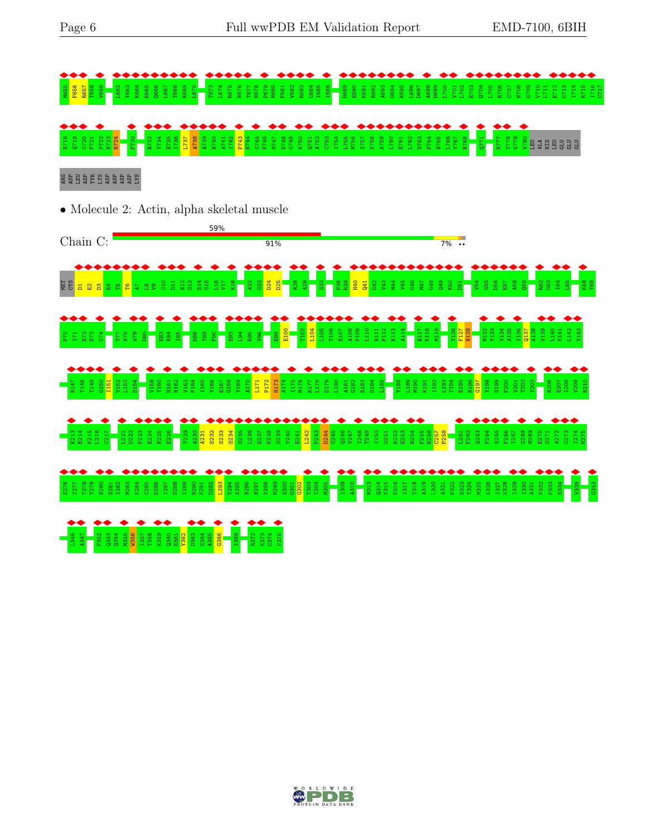

#### E G B B B B B B B S

• Molecule 2: Actin, alpha skeletal muscle



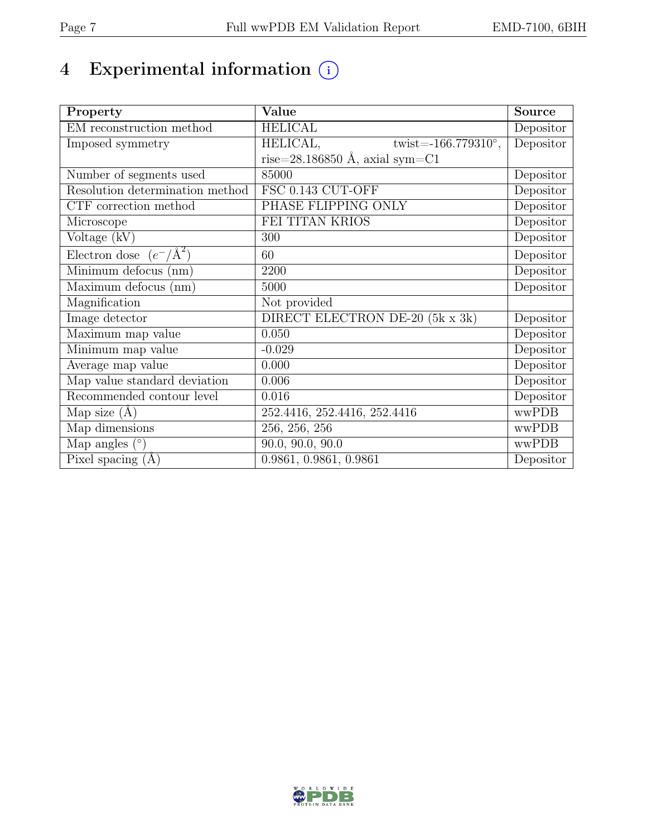# 4 Experimental information  $\bigcirc$

| Property                           | Value                                      | <b>Source</b>                  |
|------------------------------------|--------------------------------------------|--------------------------------|
| EM reconstruction method           | <b>HELICAL</b>                             | Depositor                      |
| Imposed symmetry                   | HELICAL,<br>twist= $-166.779310^{\circ}$ , | Depositor                      |
|                                    | rise=28.186850 Å, axial sym=C1             |                                |
| Number of segments used            | 85000                                      | Depositor                      |
| Resolution determination method    | FSC 0.143 CUT-OFF                          | Depositor                      |
| CTF correction method              | PHASE FLIPPING ONLY                        | Depositor                      |
| Microscope                         | FEI TITAN KRIOS                            | Depositor                      |
| Voltage (kV)                       | 300                                        | Depositor                      |
| Electron dose $(e^-/\text{\AA}^2)$ | 60                                         | Depositor                      |
| Minimum defocus (nm)               | 2200                                       | Depositor                      |
| Maximum defocus (nm)               | 5000                                       | Depositor                      |
| Magnification                      | Not provided                               |                                |
| Image detector                     | DIRECT ELECTRON DE-20 (5k x 3k)            | Depositor                      |
| Maximum map value                  | 0.050                                      | Depositor                      |
| Minimum map value                  | $-0.029$                                   | Depositor                      |
| Average map value                  | 0.000                                      | $\overline{\text{De}}$ positor |
| Map value standard deviation       | 0.006                                      | Depositor                      |
| Recommended contour level          | 0.016                                      | Depositor                      |
| Map size $(A)$                     | 252.4416, 252.4416, 252.4416               | wwPDB                          |
| Map dimensions                     | 256, 256, 256                              | wwPDB                          |
| Map angles $(°)$                   | $\overline{90.0}$ , 90.0, 90.0             | wwPDB                          |
| Pixel spacing $(A)$                | 0.9861, 0.9861, 0.9861                     | Depositor                      |

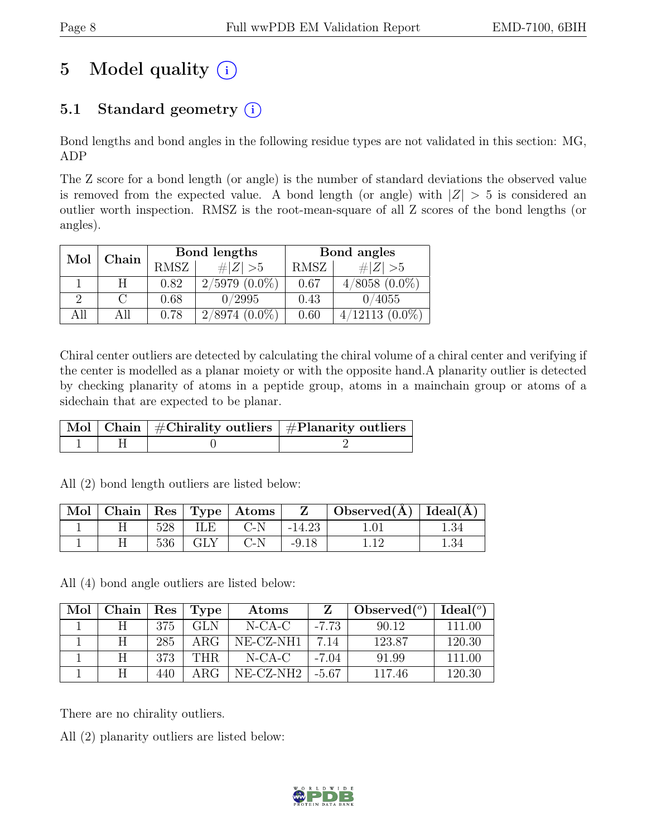## 5 Model quality  $(i)$

## 5.1 Standard geometry  $(i)$

Bond lengths and bond angles in the following residue types are not validated in this section: MG, ADP

The Z score for a bond length (or angle) is the number of standard deviations the observed value is removed from the expected value. A bond length (or angle) with  $|Z| > 5$  is considered an outlier worth inspection. RMSZ is the root-mean-square of all Z scores of the bond lengths (or angles).

| Mol | Chain |      | Bond lengths    | Bond angles |                      |  |
|-----|-------|------|-----------------|-------------|----------------------|--|
|     |       | RMSZ | $\# Z  > 5$     | RMSZ        | $\# Z  > 5$          |  |
|     |       | 0.82 | $2/5979(0.0\%)$ | 0.67        | $4/8058$ $(0.0\%)$   |  |
|     |       | 0.68 | 0/2995          | 0.43        | 0/4055               |  |
| All | All   | 0.78 | $2/8974(0.0\%)$ | 0.60        | $(0.0\%)$<br>4/12113 |  |

Chiral center outliers are detected by calculating the chiral volume of a chiral center and verifying if the center is modelled as a planar moiety or with the opposite hand.A planarity outlier is detected by checking planarity of atoms in a peptide group, atoms in a mainchain group or atoms of a sidechain that are expected to be planar.

|  | $\begin{array}{ c c c }\hline \text{Mol} & \text{Chain} & \#\text{Chirality outliers} & \#\text{Planarity outliers} \end{array}$ |
|--|----------------------------------------------------------------------------------------------------------------------------------|
|  |                                                                                                                                  |

All (2) bond length outliers are listed below:

| $^{\circ}$ Mol $^{-}$ |     |     | $\vert$ Chain $\vert$ Res $\vert$ Type $\vert$ Atoms |          | Observed( $\AA$ )   Ideal( $\AA$ ) |      |
|-----------------------|-----|-----|------------------------------------------------------|----------|------------------------------------|------|
|                       | 528 | ILE | $C-N$                                                | $-14.23$ |                                    | 1.34 |
|                       | 536 | GLY | $C-N$                                                | $-9.18$  |                                    | 1.34 |

All (4) bond angle outliers are listed below:

| Mol | Chain | $\operatorname{Res}$ | Type       | Atoms         |         | Observed $(°)$ | Ideal <sup>(o)</sup> |
|-----|-------|----------------------|------------|---------------|---------|----------------|----------------------|
|     |       | 375                  | <b>GLN</b> | $N-CA-C$      | $-7.73$ | 90.12          | 111.00               |
|     |       | 285                  | ARG        | NE-CZ-NH1     | 7.14    | 123.87         | 120.30               |
|     |       | 373                  | <b>THR</b> | N-CA-C        | $-7.04$ | 91.99          | 111.00               |
|     |       | 440                  | ABC        | $NE- CZ- NH2$ | -5.67   | 117.46         | 120.30               |

There are no chirality outliers.

All (2) planarity outliers are listed below:

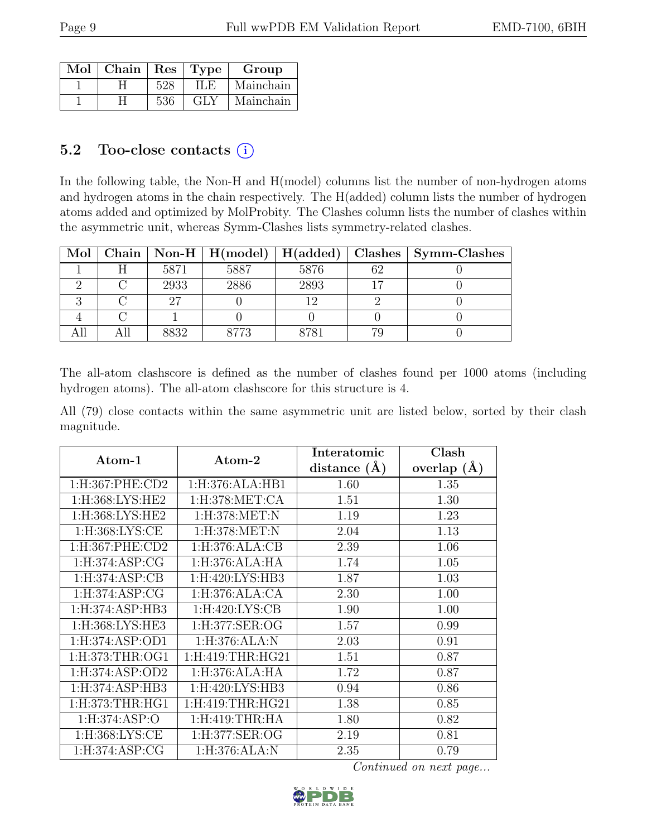| Mol | Chain |     | Res   Type | Group     |
|-----|-------|-----|------------|-----------|
|     |       | 528 | IL F       | Mainchain |
|     |       | 536 | GLY        | Mainchain |

### 5.2 Too-close contacts  $(i)$

In the following table, the Non-H and H(model) columns list the number of non-hydrogen atoms and hydrogen atoms in the chain respectively. The H(added) column lists the number of hydrogen atoms added and optimized by MolProbity. The Clashes column lists the number of clashes within the asymmetric unit, whereas Symm-Clashes lists symmetry-related clashes.

| Mol |      | $\mid$ Chain $\mid$ Non-H $\mid$ H(model) | H(added)   | Clashes   Symm-Clashes |
|-----|------|-------------------------------------------|------------|------------------------|
|     | 5871 | 5887                                      | 5876       |                        |
|     | 2933 | 2886                                      | 2893       |                        |
|     |      |                                           |            |                        |
|     |      |                                           |            |                        |
|     | 8832 | 3773                                      | $^{078}$ 1 |                        |

The all-atom clashscore is defined as the number of clashes found per 1000 atoms (including hydrogen atoms). The all-atom clashscore for this structure is 4.

All (79) close contacts within the same asymmetric unit are listed below, sorted by their clash magnitude.

| Atom-1              | Atom-2              | Interatomic    | Clash         |
|---------------------|---------------------|----------------|---------------|
|                     |                     | distance $(A)$ | overlap $(A)$ |
| $1:$ H:367:PHE:CD2  | 1: H: 376: ALA: HB1 | 1.60           | 1.35          |
| 1:H:368:LYS:HE2     | 1:H:378:MET:CA      | 1.51           | 1.30          |
| 1:H:368:LYS:HE2     | 1:H:378:MET:N       | 1.19           | 1.23          |
| 1:H:368:LYS:CE      | 1:H:378:MET:N       | 2.04           | 1.13          |
| 1:H:367:PHE:CD2     | 1:H:376:ALA:CB      | 2.39           | 1.06          |
| 1:H:374:ASP:CG      | 1: H: 376: ALA: HA  | 1.74           | 1.05          |
| 1: H: 374: ASP: CB  | 1:H:420:LYS:HB3     | 1.87           | 1.03          |
| 1: H:374: ASP: CG   | 1:H:376:ALA:CA      | 2.30           | 1.00          |
| 1:H:374:ASP:HB3     | 1:H:420:LYS:CB      | 1.90           | 1.00          |
| 1:H:368:LYS:HE3     | $1:$ H:377:SER:OG   | 1.57           | 0.99          |
| 1: H: 374: ASP: OD1 | 1:H:376:ALA:N       | 2.03           | 0.91          |
| 1:H:373:THR:OG1     | $1:$ H:419:THR:HG21 | 1.51           | 0.87          |
| 1: H: 374: ASP: OD2 | 1:H:376:ALA:HA      | 1.72           | 0.87          |
| 1:H:374:ASP:HB3     | 1:H:420:LYS:HB3     | 0.94           | 0.86          |
| 1: H:373: THR: HG1  | $1:$ H:419:THR:HG21 | 1.38           | 0.85          |
| 1:H:374:ASP:O       | 1:H:419:THR:HA      | 1.80           | 0.82          |
| 1:H:368:LYS:CE      | 1:H:377:SER:OG      | 2.19           | 0.81          |
| 1: H: 374: ASP: CG  | 1:H:376:ALA:N       | 2.35           | 0.79          |

Continued on next page...

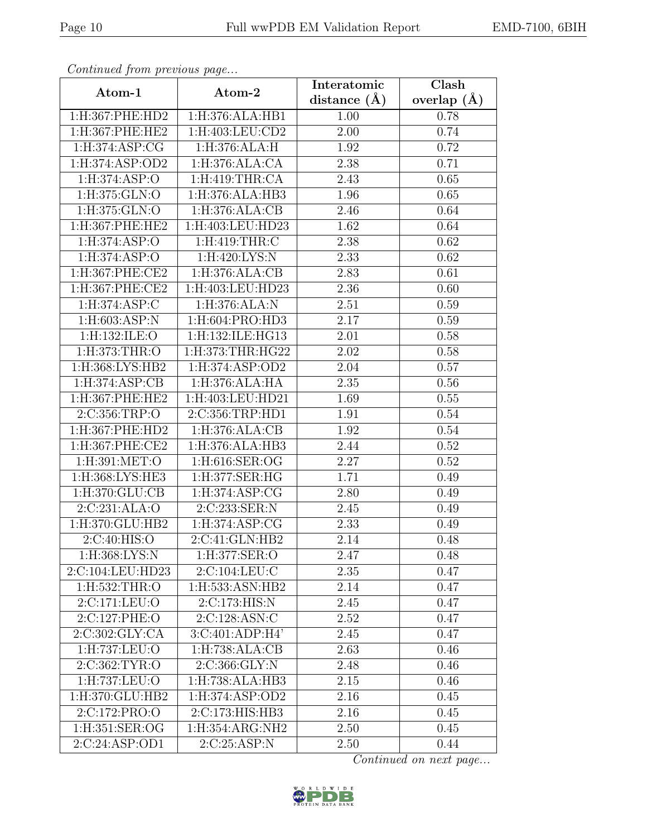| Continuatu from pretious page |                             | Interatomic    | Clash         |
|-------------------------------|-----------------------------|----------------|---------------|
| Atom-1                        | Atom-2                      | distance $(A)$ | overlap $(A)$ |
| 1:H:367:PHE:HD2               | 1:H:376:ALA:HB1             | 1.00           | 0.78          |
| $1:$ H:367:PHE:HE2            | 1:H:403:LEU:CD2             | 2.00           | 0.74          |
| 1:H:374:ASP:CG                | 1:H:376:ALA:H               | 1.92           | 0.72          |
| 1: H: 374: ASP: OD2           | 1:H:376:ALA:CA              | 2.38           | 0.71          |
| 1:H:374:ASP:O                 | $1:$ H:419:THR:CA           | 2.43           | 0.65          |
| 1:H:375:GLN:O                 | 1:H:376:ALA:HB3             | 1.96           | 0.65          |
| 1:H:375:GLN:O                 | 1: H: 376: ALA: CB          | 2.46           | 0.64          |
| 1:H:367:PHE:HE2               | 1:H:403:LEU:HD23            | 1.62           | 0.64          |
| 1:H:374:ASP:O                 | $1:$ H:419:THR:C            | 2.38           | 0.62          |
| 1:H:374:ASP:O                 | 1:H:420:LYS:N               | 2.33           | 0.62          |
| 1:H:367:PHE:CE2               | 1:H:376:ALA:CB              | 2.83           | 0.61          |
| 1:H:367:PHE:CE2               | 1:H:403:LEU:HD23            | 2.36           | 0.60          |
| 1: H: 374: ASP: C             | 1:H:376:ALA:N               | 2.51           | 0.59          |
| 1: H:603: ASP: N              | 1:H:604:PRO:HD3             | 2.17           | 0.59          |
| 1:H:132:ILE:O                 | 1:H:132:ILE:HG13            | 2.01           | 0.58          |
| 1:H:373:THR:O                 | 1:H:373:THR:HG22            | 2.02           | 0.58          |
| 1:H:368:LYS:HB2               | 1:H:374:ASP:OD2             | 2.04           | 0.57          |
| 1:H:374:ASP:CB                | 1:H:376:ALA:HA              | 2.35           | 0.56          |
| 1:H:367:PHE:HE2               | 1:H:403:LEU:HD21            | 1.69           | 0.55          |
| 2:C:356:TRP:O                 | 2:C:356:TRP:HD1             | 1.91           | 0.54          |
| 1:H:367:PHE:HD2               | 1:H:376:ALA:CB              | 1.92           | 0.54          |
| 1:H:367:PHE:CE2               | 1:H:376:ALA:HB3             | 2.44           | 0.52          |
| 1:H:391:MET:O                 | 1:H:616:SER:OG              | 2.27           | 0.52          |
| 1:H:368:LYS:HE3               | 1:H:377:SER:HG              | 1.71           | 0.49          |
| 1:H:370:GLU:CB                | 1:H:374:ASP:CG              | 2.80           | 0.49          |
| 2:C:231:ALA:O                 | 2:C:233:SER:N               | 2.45           | 0.49          |
| 1:H:370:GLU:HB2               | 1:H:374:ASP:CG              | 2.33           | 0.49          |
| 2:C:40:HIS:O                  | $2:C:\overline{41:GLN:HB2}$ | 2.14           | 0.48          |
| $1:$ H $:368:LYS:N$           | 1:H:377:SER:O               | 2.47           | 0.48          |
| 2:C:104:LEU:HD23              | 2:C:104:LEU:C               | 2.35           | 0.47          |
| $1:$ H:532:THR:O              | 1:H:533:ASN:HB2             | 2.14           | 0.47          |
| 2:C:171:LEU:O                 | 2:C:173:HIS:N               | 2.45           | 0.47          |
| 2:C:127:PHE:O                 | 2:C:128:ASN:C               | 2.52           | 0.47          |
| 2:C:302:GLY:CA                | 3:C:401:ADP:H4'             | 2.45           | 0.47          |
| 1:H:737:LEU:O                 | 1:H:738:ALA:CB              | 2.63           | 0.46          |
| 2:C:362:TYR:O                 | 2:C:366:GLY:N               | 2.48           | 0.46          |
| 1:H:737:LEU:O                 | 1:H:738:ALA:HB3             | 2.15           | 0.46          |
| 1:H:370:GLU:HB2               | 1:H:374:ASP:OD2             | 2.16           | 0.45          |
| 2:C:172:PRO:O                 | 2:C:173:HIS:HB3             | 2.16           | 0.45          |
| 1:H:351:SER:OG                | 1:H:354:ARG:NH2             | 2.50           | 0.45          |
| 2:C:24:ASP:OD1                | 2:C:25:ASP:N                | 2.50           | 0.44          |

Continued from previous page.

Continued on next page...

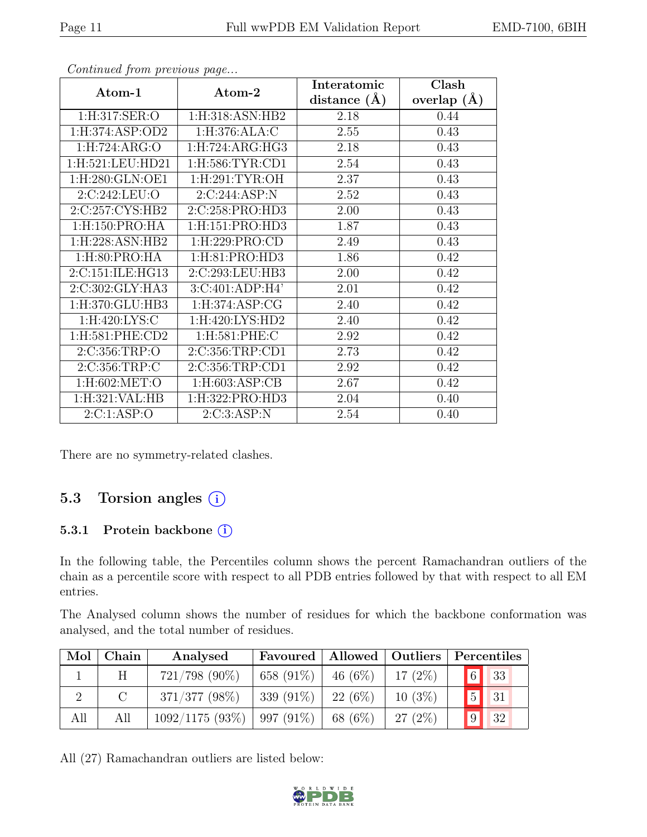| EMD-7100, 6BIH |  |
|----------------|--|
|----------------|--|

| Continuea from previous page |                     | Interatomic      | Clash         |
|------------------------------|---------------------|------------------|---------------|
| Atom-1                       | Atom-2              | distance $(\AA)$ | overlap $(A)$ |
| 1:H:317:SER:O                | 1:H:318:ASN:HB2     | 2.18             | 0.44          |
| 1:H:374:ASP:OD2              | 1:H:376:ALA:C       | 2.55             | 0.43          |
| 1: H: 724: ARG: O            | 1: H: 724: ARG: HG3 | 2.18             | 0.43          |
| 1:H:521:LEU:HD21             | 1: H:586: TYR: CD1  | 2.54             | 0.43          |
| 1:H:280:GLN:OE1              | 1: H:291: TYR:OH    | 2.37             | 0.43          |
| 2:C:242:LEU:O                | 2:C:244:ASP:N       | 2.52             | 0.43          |
| 2:C:257:CYS:HB2              | 2:C:258:PRO:HD3     | 2.00             | 0.43          |
| 1:H:150:PRO:HA               | 1: H:151: PRO:HD3   | 1.87             | 0.43          |
| 1:H:228:ASN:HB2              | 1:H:229:PRO:CD      | 2.49             | 0.43          |
| $1:$ H $:80:$ PRO $:$ HA     | 1: H:81: PRO:HD3    | 1.86             | 0.42          |
| 2:C:151:ILE:HG13             | 2:C:293:LEU:HB3     | 2.00             | 0.42          |
| 2:C:302:GLY:HA3              | 3:C:401:ADP:H4'     | 2.01             | 0.42          |
| $1:$ H:370:GLU:HB3           | 1: H:374: ASP: CG   | 2.40             | 0.42          |
| 1:H:420:LYS:C                | 1:H:420:LYS:HD2     | 2.40             | 0.42          |
| 1:H:581:PHE:CD2              | 1:H:581:PHE:C       | 2.92             | 0.42          |
| 2:C:356:TRP:O                | 2:C:356:TRP:CD1     | 2.73             | 0.42          |
| 2:C:356:TRP:C                | 2:C:356:TRP:CD1     | 2.92             | 0.42          |
| 1:H:602:MET:O                | $1:$ H:603:ASP:CB   | 2.67             | 0.42          |
| 1:H:321:VAL:HB               | 1:H:322:PRO:HD3     | 2.04             | 0.40          |
| 2:C:1:ASP:O                  | 2:C:3:ASP:N         | 2.54             | 0.40          |

Continued from previous page.

There are no symmetry-related clashes.

## 5.3 Torsion angles (i)

#### 5.3.1 Protein backbone (i)

In the following table, the Percentiles column shows the percent Ramachandran outliers of the chain as a percentile score with respect to all PDB entries followed by that with respect to all EM entries.

The Analysed column shows the number of residues for which the backbone conformation was analysed, and the total number of residues.

| Mol | Chain | Analysed         | Favoured     |          | Allowed   Outliers   Percentiles |             |      |
|-----|-------|------------------|--------------|----------|----------------------------------|-------------|------|
|     |       | $721/798$ (90%)  | 658 $(91\%)$ | 146(6%)  | $17(2\%)$                        | $\boxed{6}$ | 33   |
|     |       | $371/377$ (98\%) | 339 (91\%)   | 22 (6\%) | $10(3\%)$                        |             | 5 31 |
| All | All   | 1092/1175(93%)   | $997(91\%)$  | 68 (6%)  | 27(2%)                           | $\boxed{9}$ | 32   |

All (27) Ramachandran outliers are listed below:

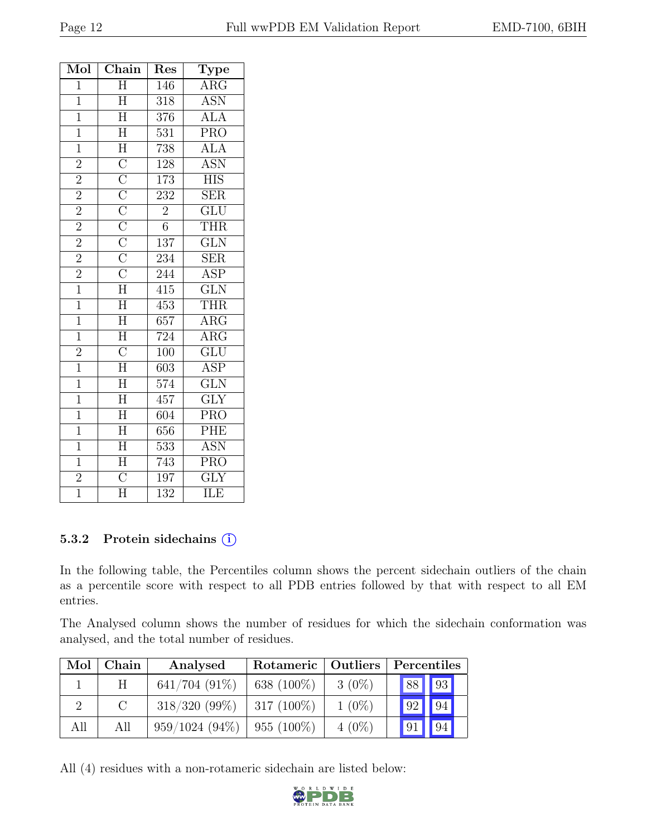| Mol            | $Chain$                                                                                                                                                                                                                     | Res              | Type                      |
|----------------|-----------------------------------------------------------------------------------------------------------------------------------------------------------------------------------------------------------------------------|------------------|---------------------------|
| $\overline{1}$ | $\overline{\rm H}$                                                                                                                                                                                                          | 146              | $\overline{\text{ARG}}$   |
| $\overline{1}$ | $\overline{H}$                                                                                                                                                                                                              | 318              | <b>ASN</b>                |
| $\overline{1}$ | $\boldsymbol{\mathrm{H}}$                                                                                                                                                                                                   | 376              | $\widehat{\text{ALA}}$    |
| $\overline{1}$ | $\overline{H}$                                                                                                                                                                                                              | $\overline{531}$ | $\overline{\text{PRO}}$   |
| $\overline{1}$ | $\overline{H}$                                                                                                                                                                                                              | 738              | <b>ALA</b>                |
| $\overline{2}$ |                                                                                                                                                                                                                             | 128              | $\overline{\mathrm{ASN}}$ |
| $\frac{2}{2}$  | $\overline{\text{C}}$ $\overline{\text{C}}$ $\overline{\text{C}}$ $\overline{\text{C}}$ $\overline{\text{C}}$ $\overline{\text{C}}$ $\overline{\text{C}}$ $\overline{\text{C}}$ $\overline{\text{C}}$ $\overline{\text{H}}$ | 173              | <b>HIS</b>                |
|                |                                                                                                                                                                                                                             | 232              | <b>SER</b>                |
| $\overline{2}$ |                                                                                                                                                                                                                             | $\overline{2}$   | $\overline{{\rm GLU}}$    |
| $\overline{2}$ |                                                                                                                                                                                                                             | $\overline{6}$   | THR                       |
| $\overline{2}$ |                                                                                                                                                                                                                             | 137              | $\overline{\text{GLN}}$   |
| $\overline{2}$ |                                                                                                                                                                                                                             | 234              | <b>SER</b>                |
| $\frac{2}{1}$  |                                                                                                                                                                                                                             | 244              | ASP                       |
|                |                                                                                                                                                                                                                             | 415              | $\overline{\text{GLN}}$   |
| $\overline{1}$ | $\overline{H}$                                                                                                                                                                                                              | 453              | <b>THR</b>                |
| $\overline{1}$ | $\overline{H}$                                                                                                                                                                                                              | 657              | ARG                       |
| $\mathbf{1}$   | $\overline{H}$                                                                                                                                                                                                              | 724              | $\overline{\text{ARG}}$   |
| $\overline{2}$ | $\overline{\rm C}$                                                                                                                                                                                                          | 100              | $\overline{\text{GLU}}$   |
| $\overline{1}$ | $\overline{\rm H}$                                                                                                                                                                                                          | 603              | <b>ASP</b>                |
| $\overline{1}$ | $\overline{\rm H}$                                                                                                                                                                                                          | 574              | $\overline{\text{GLN}}$   |
| $\mathbf{1}$   | $\overline{H}$                                                                                                                                                                                                              | 457              | $\overline{\text{GLY}}$   |
| $\overline{1}$ | $\overline{\rm H}$                                                                                                                                                                                                          | 604              | PRO                       |
| $\overline{1}$ | $\overline{\rm H}$                                                                                                                                                                                                          | 656              | PHE                       |
| $\overline{1}$ | $\overline{\rm H}$                                                                                                                                                                                                          | 533              | <b>ASN</b>                |
| $\mathbf{1}$   | $\overline{\rm H}$                                                                                                                                                                                                          | 743              | PRO                       |
| $\overline{2}$ | $\overline{C}$                                                                                                                                                                                                              | 197              | $\overline{\text{GLY}}$   |
| $\overline{1}$ | $\overline{\text{H}}$                                                                                                                                                                                                       | $\overline{132}$ | $\overline{\text{ILE}}$   |

#### 5.3.2 Protein side chains  $(i)$

In the following table, the Percentiles column shows the percent sidechain outliers of the chain as a percentile score with respect to all PDB entries followed by that with respect to all EM entries.

The Analysed column shows the number of residues for which the sidechain conformation was analysed, and the total number of residues.

| Mol | Chain    | Analysed         | Rotameric   Outliers |          | Percentiles |                 |  |
|-----|----------|------------------|----------------------|----------|-------------|-----------------|--|
|     | H        | $641/704(91\%)$  | 638 $(100\%)$        | $3(0\%)$ | 88          | 93              |  |
|     | $\Gamma$ | $318/320(99\%)$  | $317(100\%)$         | $1(0\%)$ | 92          | 94              |  |
| All | All      | $959/1024(94\%)$ | $955(100\%)$         | $4(0\%)$ | $\sqrt{91}$ | $\overline{94}$ |  |

All (4) residues with a non-rotameric sidechain are listed below:

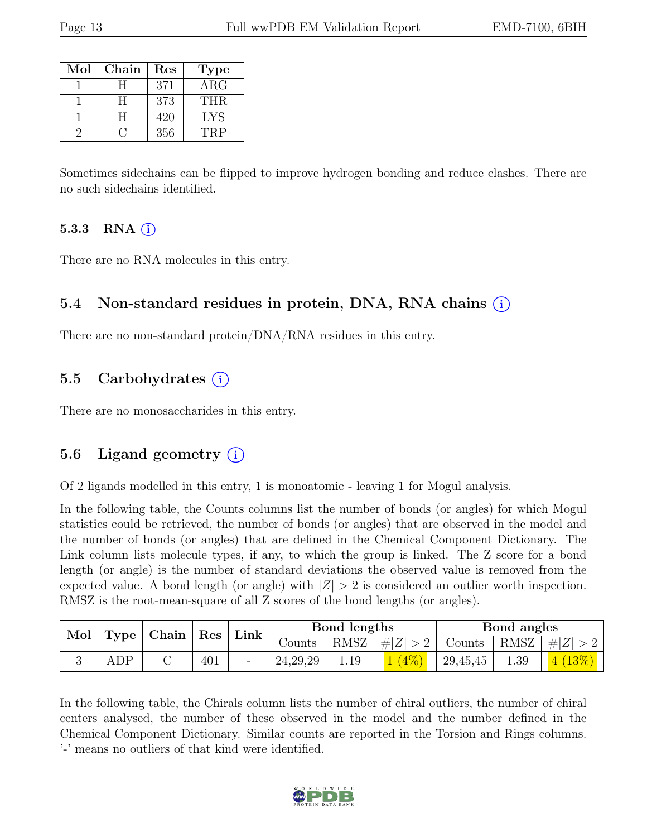| Mol | Chain | Res | <b>Type</b> |
|-----|-------|-----|-------------|
|     |       | 371 | $\rm{ARG}$  |
|     | н     | 373 | THR.        |
|     | H.    | 420 | <b>LYS</b>  |
|     |       | 356 | TRP         |

Sometimes sidechains can be flipped to improve hydrogen bonding and reduce clashes. There are no such sidechains identified.

#### 5.3.3 RNA  $(i)$

There are no RNA molecules in this entry.

#### 5.4 Non-standard residues in protein, DNA, RNA chains (i)

There are no non-standard protein/DNA/RNA residues in this entry.

#### 5.5 Carbohydrates  $(i)$

There are no monosaccharides in this entry.

#### 5.6 Ligand geometry  $(i)$

Of 2 ligands modelled in this entry, 1 is monoatomic - leaving 1 for Mogul analysis.

In the following table, the Counts columns list the number of bonds (or angles) for which Mogul statistics could be retrieved, the number of bonds (or angles) that are observed in the model and the number of bonds (or angles) that are defined in the Chemical Component Dictionary. The Link column lists molecule types, if any, to which the group is linked. The Z score for a bond length (or angle) is the number of standard deviations the observed value is removed from the expected value. A bond length (or angle) with  $|Z| > 2$  is considered an outlier worth inspection. RMSZ is the root-mean-square of all Z scores of the bond lengths (or angles).

| Mol | Chain<br>  Type $\vert$ |  | $^{\circ}$ Res | Link | Bond lengths         |      |                    | Bond angles           |      |          |
|-----|-------------------------|--|----------------|------|----------------------|------|--------------------|-----------------------|------|----------|
|     |                         |  |                |      | $\frac{1}{2}$ Counts | RMSZ | $\perp \#  Z  > 2$ | Counts   RMSZ $\vert$ |      | #Z  > 2  |
|     | ADP                     |  | 401            |      | 24, 29, 29           | 1.19 | $(4\%),$           | 29,45,45              | 1.39 | $(13\%)$ |

In the following table, the Chirals column lists the number of chiral outliers, the number of chiral centers analysed, the number of these observed in the model and the number defined in the Chemical Component Dictionary. Similar counts are reported in the Torsion and Rings columns. '-' means no outliers of that kind were identified.

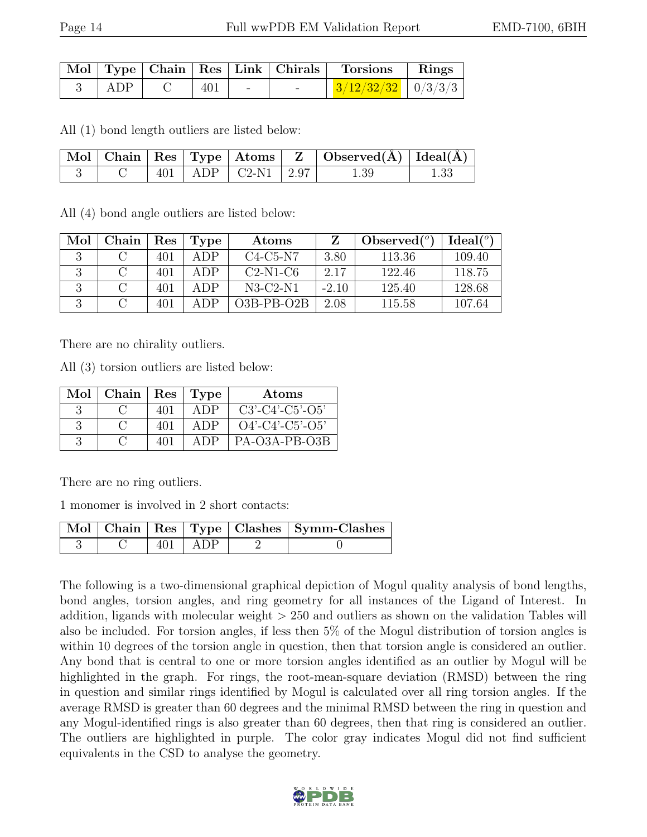|       |     |  | Mol   Type   Chain   Res   Link   Chirals   Torsions   Rings |  |
|-------|-----|--|--------------------------------------------------------------|--|
| l ADP | 401 |  | $\frac{3}{12/32/32}$   0/3/3/3                               |  |

All (1) bond length outliers are listed below:

|  |  |                            | $\vert$ Mol $\vert$ Chain $\vert$ Res $\vert$ Type $\vert$ Atoms $\vert$ Z $\vert$ Observed(A) $\vert$ Ideal(A) $\vert$ |      |
|--|--|----------------------------|-------------------------------------------------------------------------------------------------------------------------|------|
|  |  | $ 401 $ ADP $ C2-N1 $ 2.97 | -- 1.39                                                                                                                 | 1.33 |

All (4) bond angle outliers are listed below:

| Mol | Chain | Res | 'Type | Atoms        |         | Observed $(°)$ | Ideal <sup>(o)</sup> |
|-----|-------|-----|-------|--------------|---------|----------------|----------------------|
|     |       | 401 | A DP. | $C4-C5-N7$   | 3.80    | 113.36         | 109.40               |
|     |       | 401 | A DP  | $C2-N1-C6$   | 2.17    | 122.46         | 118.75               |
|     |       | 401 | A DP. | $N3-C2-N1$   | $-2.10$ | 125.40         | 128.68               |
|     |       | 401 | A DP  | $O3B-PB-O2B$ | 2.08    | 115.58         | 107.64               |

There are no chirality outliers.

All (3) torsion outliers are listed below:

| Mol | Chain | $\operatorname{Res}$ | Type | Atoms              |
|-----|-------|----------------------|------|--------------------|
|     |       | 401                  | A DP | $C3'-C4'-C5'-O5'$  |
|     |       | 401                  | A DP | $O4'$ -C4'-C5'-O5' |
|     |       |                      | ADP  | PA-O3A-PB-O3B      |

There are no ring outliers.

1 monomer is involved in 2 short contacts:

|  |             | Mol   Chain   Res   Type   Clashes   Symm-Clashes |
|--|-------------|---------------------------------------------------|
|  | $401$   ADP |                                                   |

The following is a two-dimensional graphical depiction of Mogul quality analysis of bond lengths, bond angles, torsion angles, and ring geometry for all instances of the Ligand of Interest. In addition, ligands with molecular weight > 250 and outliers as shown on the validation Tables will also be included. For torsion angles, if less then 5% of the Mogul distribution of torsion angles is within 10 degrees of the torsion angle in question, then that torsion angle is considered an outlier. Any bond that is central to one or more torsion angles identified as an outlier by Mogul will be highlighted in the graph. For rings, the root-mean-square deviation (RMSD) between the ring in question and similar rings identified by Mogul is calculated over all ring torsion angles. If the average RMSD is greater than 60 degrees and the minimal RMSD between the ring in question and any Mogul-identified rings is also greater than 60 degrees, then that ring is considered an outlier. The outliers are highlighted in purple. The color gray indicates Mogul did not find sufficient equivalents in the CSD to analyse the geometry.

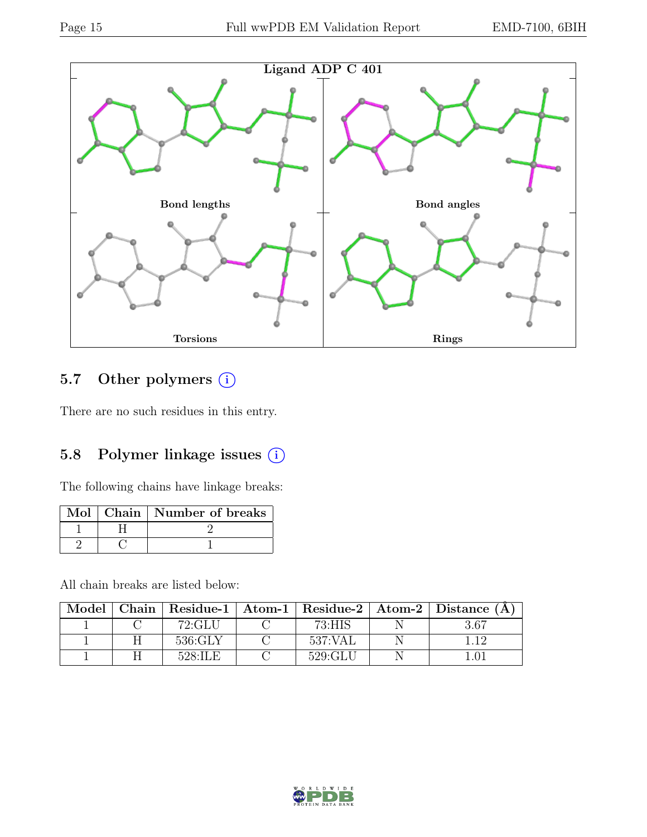

## 5.7 Other polymers (i)

There are no such residues in this entry.

### 5.8 Polymer linkage issues (i)

The following chains have linkage breaks:

|  | Mol   Chain   Number of breaks |
|--|--------------------------------|
|  |                                |
|  |                                |

All chain breaks are listed below:

| Model |                        |         | Chain   Residue-1   Atom-1   Residue-2   Atom-2   Distance (A |
|-------|------------------------|---------|---------------------------------------------------------------|
|       | 72:GLU                 | 73:HIS  | 3.67                                                          |
|       | 536:GLY                | 537:VAL |                                                               |
|       | $528 \cdot \text{TLE}$ | 529:GLU |                                                               |

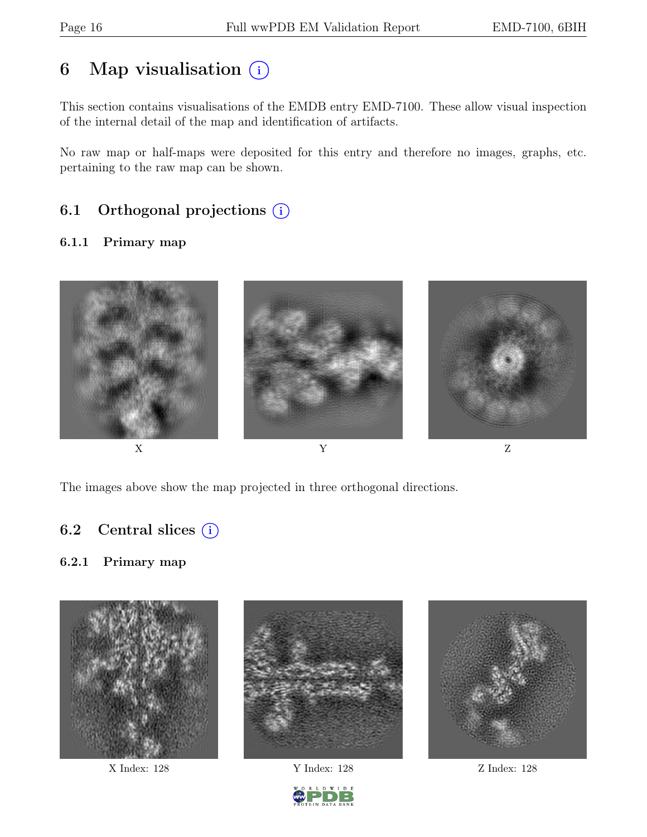## 6 Map visualisation  $(i)$

This section contains visualisations of the EMDB entry EMD-7100. These allow visual inspection of the internal detail of the map and identification of artifacts.

No raw map or half-maps were deposited for this entry and therefore no images, graphs, etc. pertaining to the raw map can be shown.

## 6.1 Orthogonal projections  $(i)$

#### 6.1.1 Primary map



The images above show the map projected in three orthogonal directions.

### 6.2 Central slices  $(i)$

#### 6.2.1 Primary map





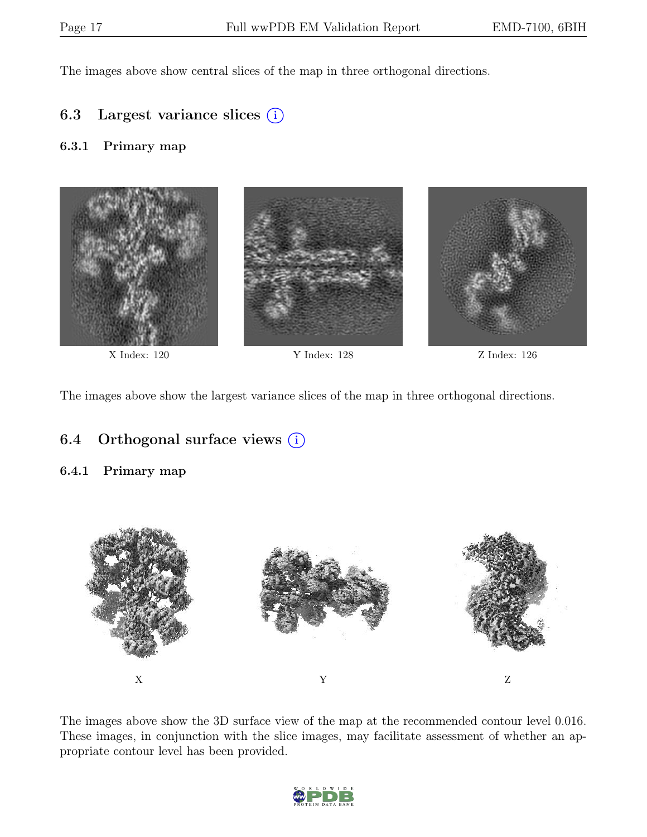The images above show central slices of the map in three orthogonal directions.

### 6.3 Largest variance slices  $(i)$

#### 6.3.1 Primary map



The images above show the largest variance slices of the map in three orthogonal directions.

### 6.4 Orthogonal surface views  $(i)$

#### 6.4.1 Primary map



The images above show the 3D surface view of the map at the recommended contour level 0.016. These images, in conjunction with the slice images, may facilitate assessment of whether an appropriate contour level has been provided.

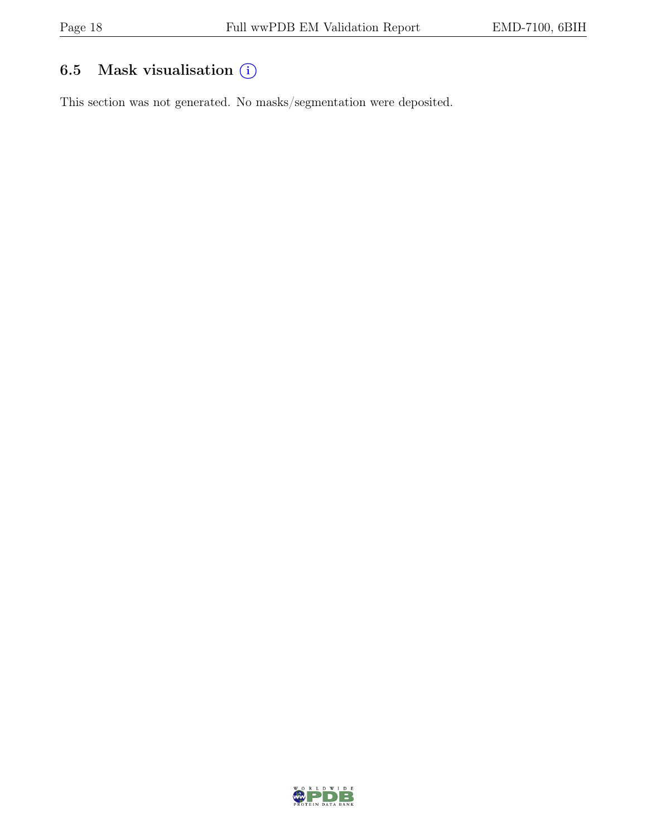## 6.5 Mask visualisation  $(i)$

This section was not generated. No masks/segmentation were deposited.

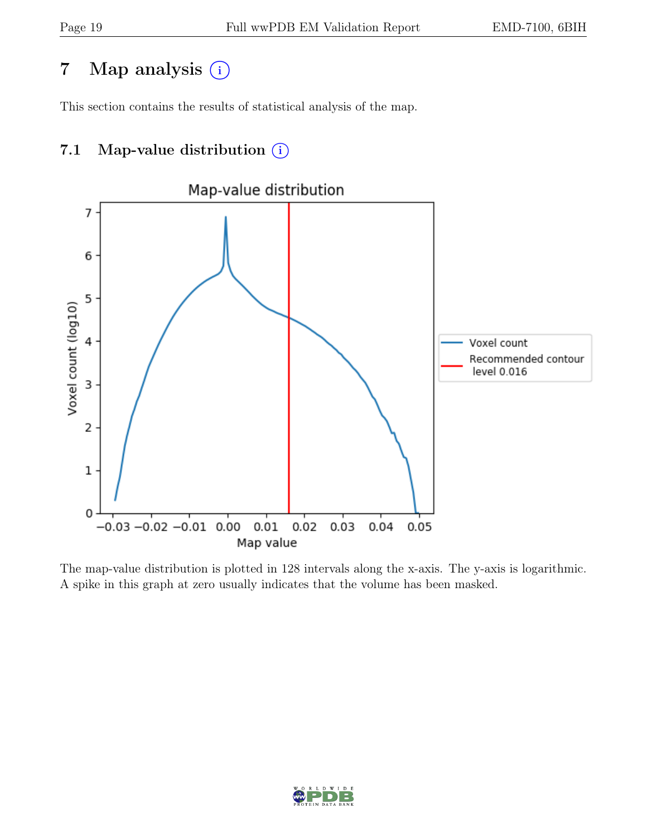## 7 Map analysis (i)

This section contains the results of statistical analysis of the map.

## 7.1 Map-value distribution  $(i)$



The map-value distribution is plotted in 128 intervals along the x-axis. The y-axis is logarithmic. A spike in this graph at zero usually indicates that the volume has been masked.

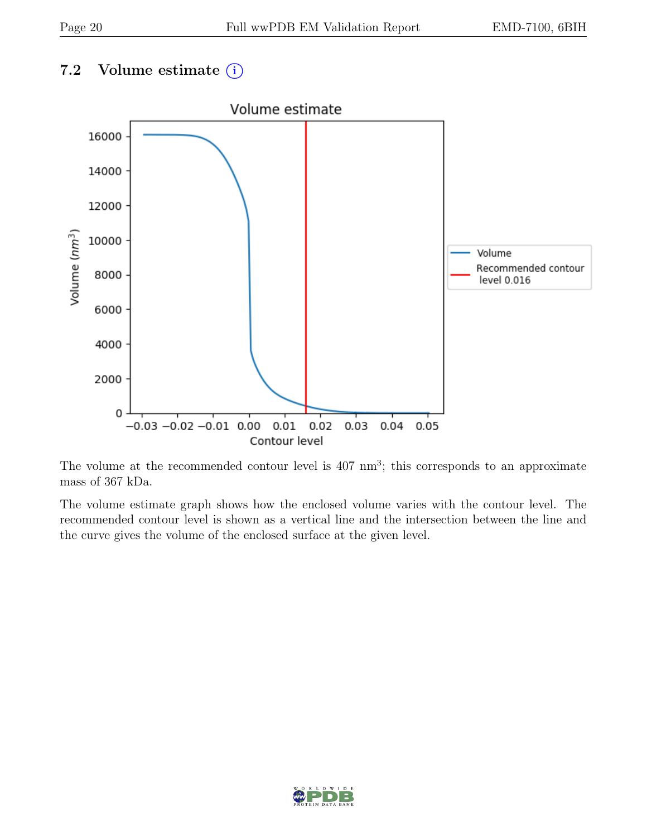### 7.2 Volume estimate  $(i)$



The volume at the recommended contour level is  $407 \text{ nm}^3$ ; this corresponds to an approximate mass of 367 kDa.

The volume estimate graph shows how the enclosed volume varies with the contour level. The recommended contour level is shown as a vertical line and the intersection between the line and the curve gives the volume of the enclosed surface at the given level.

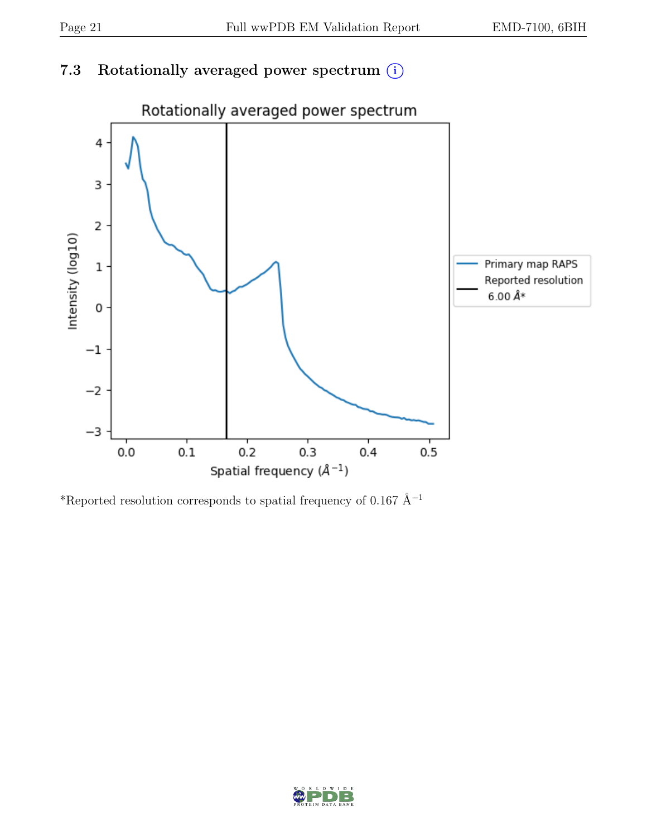## 7.3 Rotationally averaged power spectrum  $(i)$



\*Reported resolution corresponds to spatial frequency of 0.167 Å<sup>-1</sup>

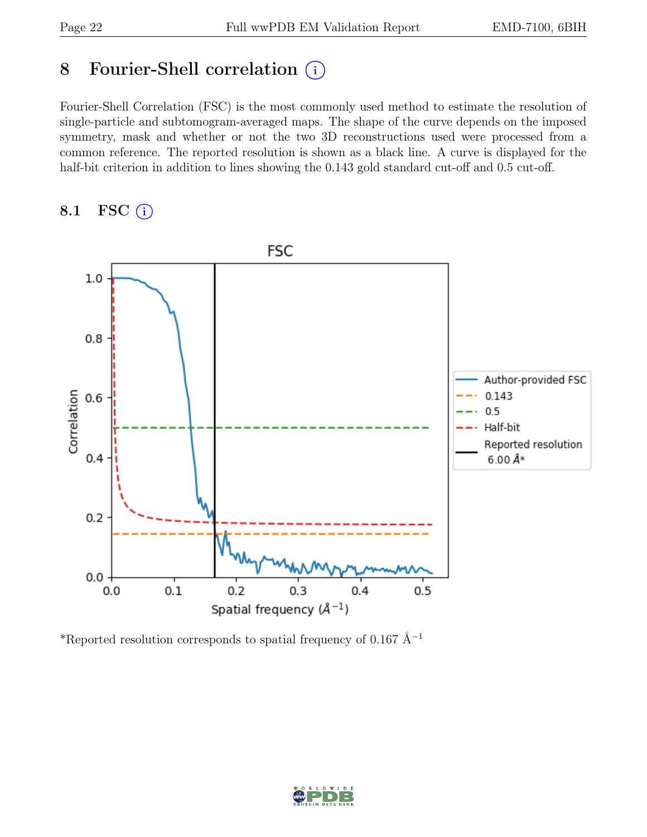## 8 Fourier-Shell correlation (i)

Fourier-Shell Correlation (FSC) is the most commonly used method to estimate the resolution of single-particle and subtomogram-averaged maps. The shape of the curve depends on the imposed symmetry, mask and whether or not the two 3D reconstructions used were processed from a common reference. The reported resolution is shown as a black line. A curve is displayed for the half-bit criterion in addition to lines showing the 0.143 gold standard cut-off and 0.5 cut-off.

8.1 FSC  $(i)$ 



\*Reported resolution corresponds to spatial frequency of 0.167 Å<sup>-1</sup>

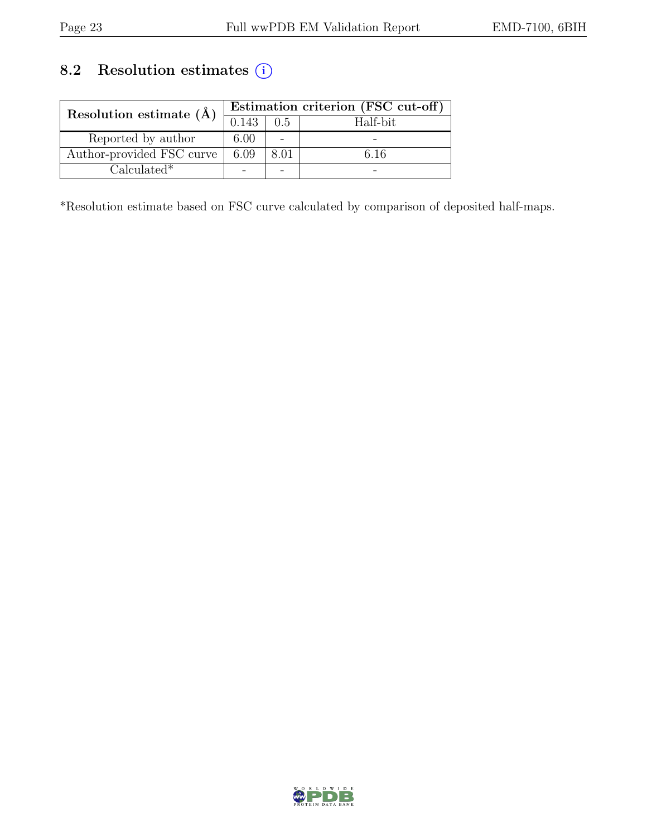## 8.2 Resolution estimates  $\overline{()}$

| Resolution estimate $(\AA)$ |       | Estimation criterion (FSC cut-off) |          |  |  |
|-----------------------------|-------|------------------------------------|----------|--|--|
|                             | 0.143 | 0.5                                | Half-bit |  |  |
| Reported by author          | 6.00  |                                    |          |  |  |
| Author-provided FSC curve   | 6.09  | 8.01                               | ճ 16     |  |  |
| $Calculated*$               |       |                                    |          |  |  |

\*Resolution estimate based on FSC curve calculated by comparison of deposited half-maps.

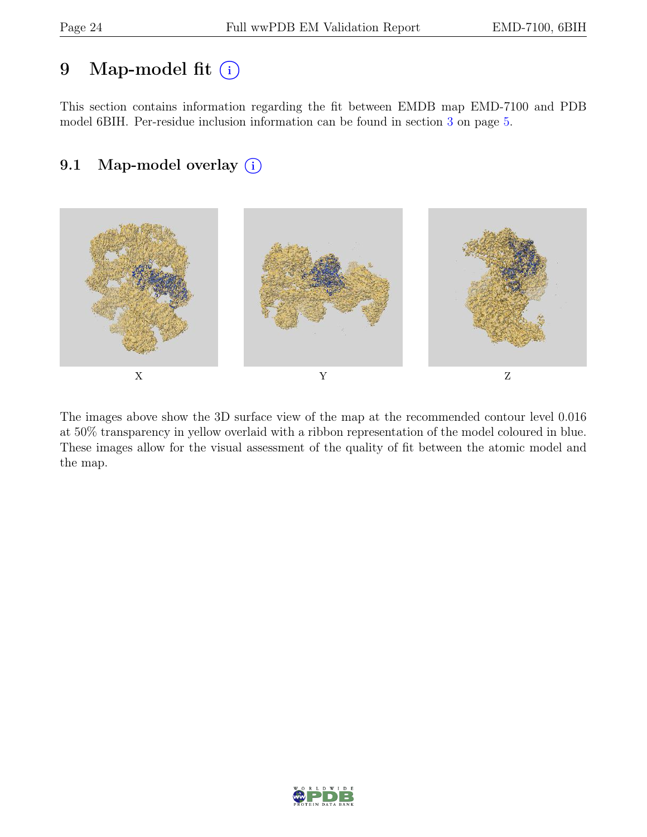## 9 Map-model fit  $(i)$

This section contains information regarding the fit between EMDB map EMD-7100 and PDB model 6BIH. Per-residue inclusion information can be found in section [3](#page-4-0) on page [5.](#page-4-0)

## 9.1 Map-model overlay (i)



The images above show the 3D surface view of the map at the recommended contour level 0.016 at 50% transparency in yellow overlaid with a ribbon representation of the model coloured in blue. These images allow for the visual assessment of the quality of fit between the atomic model and the map.